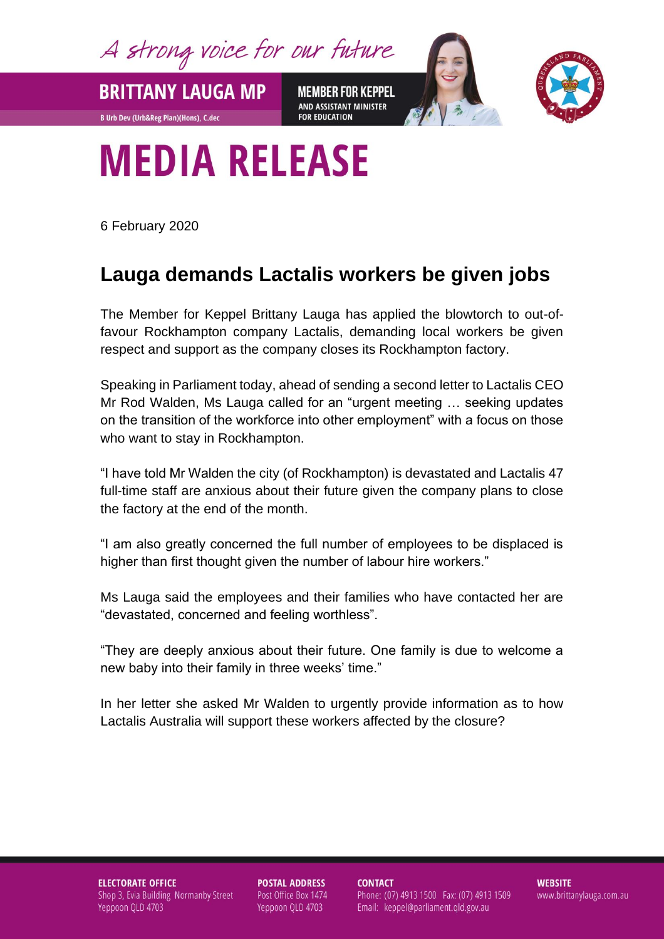A strong voice for our future

**MEMBER FOR KEPPEL** AND ASSISTANT MINISTER **FOR EDUCATION** 



## **MEDIA RELEASE**

6 February 2020

**BRITTANY LAUGA MP** 

**B Urb Dev (Urb&Reg Plan)(Hons), C.dec** 

## **Lauga demands Lactalis workers be given jobs**

The Member for Keppel Brittany Lauga has applied the blowtorch to out-offavour Rockhampton company Lactalis, demanding local workers be given respect and support as the company closes its Rockhampton factory.

Speaking in Parliament today, ahead of sending a second letter to Lactalis CEO Mr Rod Walden, Ms Lauga called for an "urgent meeting … seeking updates on the transition of the workforce into other employment" with a focus on those who want to stay in Rockhampton.

"I have told Mr Walden the city (of Rockhampton) is devastated and Lactalis 47 full-time staff are anxious about their future given the company plans to close the factory at the end of the month.

"I am also greatly concerned the full number of employees to be displaced is higher than first thought given the number of labour hire workers."

Ms Lauga said the employees and their families who have contacted her are "devastated, concerned and feeling worthless".

"They are deeply anxious about their future. One family is due to welcome a new baby into their family in three weeks' time."

In her letter she asked Mr Walden to urgently provide information as to how Lactalis Australia will support these workers affected by the closure?

**ELECTORATE OFFICE** Shop 3, Evia Building Normanby Street Yeppoon QLD 4703

**POSTAL ADDRESS** Post Office Box 1474 Yeppoon QLD 4703

**CONTACT** Phone: (07) 4913 1500 Fax: (07) 4913 1509 Email: keppel@parliament.qld.gov.au

**WEBSITE** www.brittanylauga.com.au